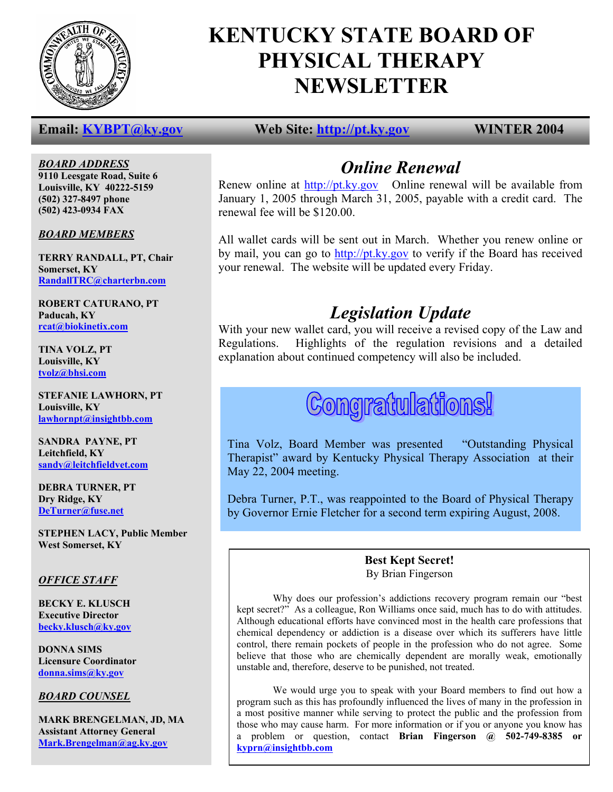

# **KENTUCKY STATE BOARD OF PHYSICAL THERAPY NEWSLETTER**

*BOARD ADDRESS* **9110 Leesgate Road, Suite 6 Louisville, KY 40222-5159 (502) 327-8497 phone (502) 423-0934 FAX** 

*BOARD MEMBERS*

**TERRY RANDALL, PT, Chair Somerset, KY RandallTRC@charterbn.com**

**ROBERT CATURANO, PT Paducah, KY rcat@biokinetix.com**

**TINA VOLZ, PT Louisville, KY tvolz@bhsi.com**

**STEFANIE LAWHORN, PT Louisville, KY lawhornpt@insightbb.com**

**SANDRA PAYNE, PT Leitchfield, KY sandy@leitchfieldvet.com**

**DEBRA TURNER, PT Dry Ridge, KY DeTurner@fuse.net**

**STEPHEN LACY, Public Member West Somerset, KY** 

# *OFFICE STAFF*

**BECKY E. KLUSCH Executive Director becky.klusch@ky.gov**

**DONNA SIMS Licensure Coordinator donna.sims@ky.gov**

# *BOARD COUNSEL*

**MARK BRENGELMAN, JD, MA Assistant Attorney General Mark.Brengelman@ag.ky.gov**

# **Email:** KYBPT@ky.gov Web Site: http://pt.ky.gov WINTER 2004

# *Online Renewal*

Renew online at http://pt.ky.gov Online renewal will be available from January 1, 2005 through March 31, 2005, payable with a credit card. The renewal fee will be \$120.00.

by mail, you can go to **http://pt.ky.gov** to verify if the Board has received All wallet cards will be sent out in March. Whether you renew online or your renewal. The website will be updated every Friday.

# *Legislation Update*

With your new wallet card, you will receive a revised copy of the Law and Regulations. Highlights of the regulation revisions and a detailed explanation about continued competency will also be included.

# **Congratulations!**

Tina Volz, Board Member was presented "Outstanding Physical Therapist" award by Kentucky Physical Therapy Association at their May 22, 2004 meeting.

Debra Turner, P.T., was reappointed to the Board of Physical Therapy by Governor Ernie Fletcher for a second term expiring August, 2008.

# **Best Kept Secret!**  By Brian Fingerson

Why does our profession's addictions recovery program remain our "best kept secret?" As a colleague, Ron Williams once said, much has to do with attitudes. Although educational efforts have convinced most in the health care professions that chemical dependency or addiction is a disease over which its sufferers have little control, there remain pockets of people in the profession who do not agree. Some believe that those who are chemically dependent are morally weak, emotionally unstable and, therefore, deserve to be punished, not treated.

 We would urge you to speak with your Board members to find out how a program such as this has profoundly influenced the lives of many in the profession in a most positive manner while serving to protect the public and the profession from those who may cause harm. For more information or if you or anyone you know has a problem or question, contact **Brian Fingerson @ 502-749-8385 or kyprn@insightbb.com**